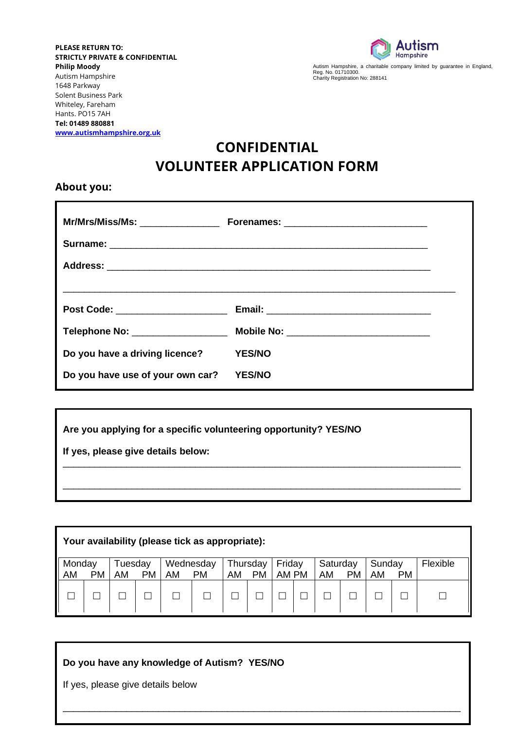**PLEASE RETURN TO: STRICTLY PRIVATE & CONFIDENTIAL Philip Moody**  Autism Hampshire 1648 Parkway Solent Business Park Whiteley, Fareham Hants. PO15 7AH **Tel: 01489 880881 [www.autismhampshire.org.uk](http://www.autismhampshire.org.uk/)**



Autism Hampshire, a charitable company limited by guarantee in England,<br>Reg. No. 01710300.<br>Charity Registration No: 288141

# **CONFIDENTIAL VOLUNTEER APPLICATION FORM**

**About you:**

| Mr/Mrs/Miss/Ms: _________________ |                                          |
|-----------------------------------|------------------------------------------|
|                                   |                                          |
|                                   |                                          |
|                                   |                                          |
| Post Code: _____________________  |                                          |
| Telephone No: ___________________ | Mobile No: _____________________________ |
| Do you have a driving licence?    | <b>YES/NO</b>                            |
| Do you have use of your own car?  | <b>YES/NO</b>                            |

**Are you applying for a specific volunteering opportunity? YES/NO**

**If yes, please give details below:** 

| Your availability (please tick as appropriate): |    |               |           |    |                        |    |                       |                 |                |           |              |           |                 |
|-------------------------------------------------|----|---------------|-----------|----|------------------------|----|-----------------------|-----------------|----------------|-----------|--------------|-----------|-----------------|
| Monday<br>AM                                    | РM | Tuesday<br>AM | <b>PM</b> | AM | Wednesday<br><b>PM</b> | AM | Thursday<br><b>PM</b> | Friday<br>AM PM | Saturday<br>AM | <b>PM</b> | Sunday<br>AM | <b>PM</b> | <b>Flexible</b> |
|                                                 |    |               |           |    |                        |    |                       |                 |                |           |              |           |                 |

Please tell us as much as you can, this will help us find a volunteer role most suited to you.

\_\_\_\_\_\_\_\_\_\_\_\_\_\_\_\_\_\_\_\_\_\_\_\_\_\_\_\_\_\_\_\_\_\_\_\_\_\_\_\_\_\_\_\_\_\_\_\_\_\_\_\_\_\_\_\_\_\_\_\_\_\_\_\_\_\_\_\_\_\_\_\_\_\_\_

\_\_\_\_\_\_\_\_\_\_\_\_\_\_\_\_\_\_\_\_\_\_\_\_\_\_\_\_\_\_\_\_\_\_\_\_\_\_\_\_\_\_\_\_\_\_\_\_\_\_\_\_\_\_\_\_\_\_\_\_\_\_\_\_\_\_\_\_\_\_\_\_\_\_\_

 $\overline{a}$ 

\_\_\_\_\_\_\_\_\_\_\_\_\_\_\_\_\_\_\_\_\_\_\_\_\_\_\_\_\_\_\_\_\_\_\_\_\_\_\_\_\_\_\_\_\_\_\_\_\_\_\_\_\_\_\_\_\_\_\_\_\_\_\_\_\_\_\_\_\_\_\_\_\_\_\_

 $\mathcal{L}_\mathcal{L} = \{ \mathcal{L}_\mathcal{L} = \{ \mathcal{L}_\mathcal{L} = \{ \mathcal{L}_\mathcal{L} = \{ \mathcal{L}_\mathcal{L} = \{ \mathcal{L}_\mathcal{L} = \{ \mathcal{L}_\mathcal{L} = \{ \mathcal{L}_\mathcal{L} = \{ \mathcal{L}_\mathcal{L} = \{ \mathcal{L}_\mathcal{L} = \{ \mathcal{L}_\mathcal{L} = \{ \mathcal{L}_\mathcal{L} = \{ \mathcal{L}_\mathcal{L} = \{ \mathcal{L}_\mathcal{L} = \{ \mathcal{L}_\mathcal{$ 

**Do you have any knowledge of Autism? YES/NO**

If yes, please give details below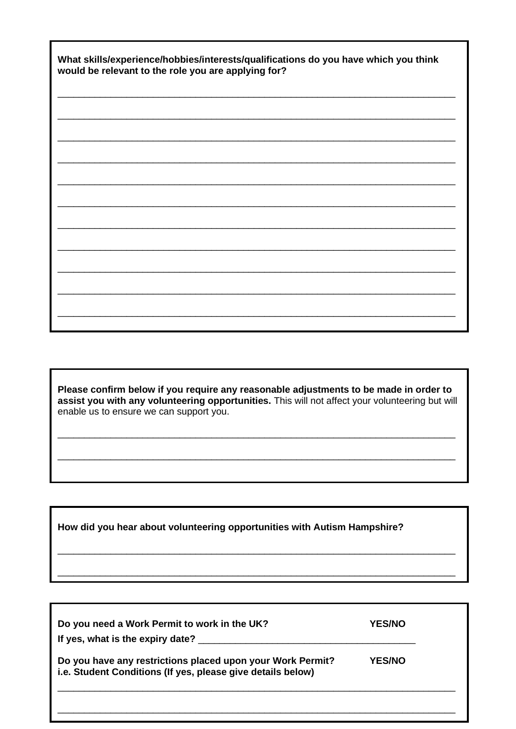| What skills/experience/hobbies/interests/qualifications do you have which you think<br>would be relevant to the role you are applying for? |  |  |  |  |  |
|--------------------------------------------------------------------------------------------------------------------------------------------|--|--|--|--|--|
|                                                                                                                                            |  |  |  |  |  |
|                                                                                                                                            |  |  |  |  |  |
|                                                                                                                                            |  |  |  |  |  |
|                                                                                                                                            |  |  |  |  |  |
|                                                                                                                                            |  |  |  |  |  |
|                                                                                                                                            |  |  |  |  |  |
|                                                                                                                                            |  |  |  |  |  |
|                                                                                                                                            |  |  |  |  |  |
|                                                                                                                                            |  |  |  |  |  |
|                                                                                                                                            |  |  |  |  |  |
|                                                                                                                                            |  |  |  |  |  |
|                                                                                                                                            |  |  |  |  |  |
|                                                                                                                                            |  |  |  |  |  |
|                                                                                                                                            |  |  |  |  |  |
|                                                                                                                                            |  |  |  |  |  |
|                                                                                                                                            |  |  |  |  |  |

Please confirm below if you require any reasonable adjustments to be made in order to assist you with any volunteering opportunities. This will not affect your volunteering but will enable us to ensure we can support you.

How did you hear about volunteering opportunities with Autism Hampshire?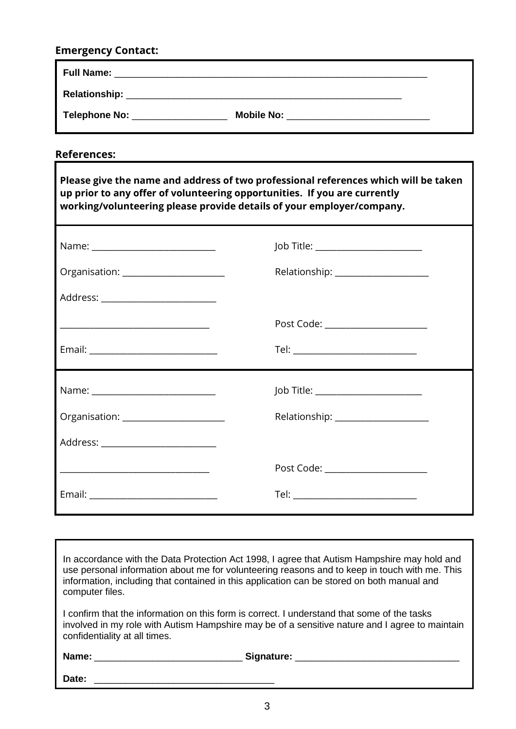## **Emergency Contact:**

| <b>Full Name:</b> |                   |  |
|-------------------|-------------------|--|
| Relationship:     |                   |  |
| Telephone No:     | <b>Mobile No:</b> |  |

**References:**

| Please give the name and address of two professional references which will be taken<br>up prior to any offer of volunteering opportunities. If you are currently<br>working/volunteering please provide details of your employer/company. |                                     |  |  |  |  |  |
|-------------------------------------------------------------------------------------------------------------------------------------------------------------------------------------------------------------------------------------------|-------------------------------------|--|--|--|--|--|
| Name: ____________________________                                                                                                                                                                                                        | Job Title: ______________________   |  |  |  |  |  |
|                                                                                                                                                                                                                                           | Relationship: _____________________ |  |  |  |  |  |
| Address: _________________________                                                                                                                                                                                                        |                                     |  |  |  |  |  |
| <u> 1989 - Johann John Stone, mars et al. 1989 - John Stone, mars et al. 1989 - John Stone, mars et al. 1989 - John Stone</u>                                                                                                             | Post Code: ______________________   |  |  |  |  |  |
|                                                                                                                                                                                                                                           |                                     |  |  |  |  |  |
| Name: _____________________________                                                                                                                                                                                                       | Job Title: _______________________  |  |  |  |  |  |
| Organisation: ______________________                                                                                                                                                                                                      | Relationship: _____________________ |  |  |  |  |  |
| Address: __________________________                                                                                                                                                                                                       |                                     |  |  |  |  |  |
| <u> 1989 - Jan James James James James James James James James James James James James James James James James J</u>                                                                                                                      | Post Code: ______________________   |  |  |  |  |  |
|                                                                                                                                                                                                                                           |                                     |  |  |  |  |  |

In accordance with the Data Protection Act 1998, I agree that Autism Hampshire may hold and use personal information about me for volunteering reasons and to keep in touch with me. This information, including that contained in this application can be stored on both manual and computer files.

I confirm that the information on this form is correct. I understand that some of the tasks involved in my role with Autism Hampshire may be of a sensitive nature and I agree to maintain confidentiality at all times.

**Name:** \_\_\_\_\_\_\_\_\_\_\_\_\_\_\_\_\_\_\_\_\_\_\_\_\_\_\_\_ **Signature:** \_\_\_\_\_\_\_\_\_\_\_\_\_\_\_\_\_\_\_\_\_\_\_\_\_\_\_\_\_\_\_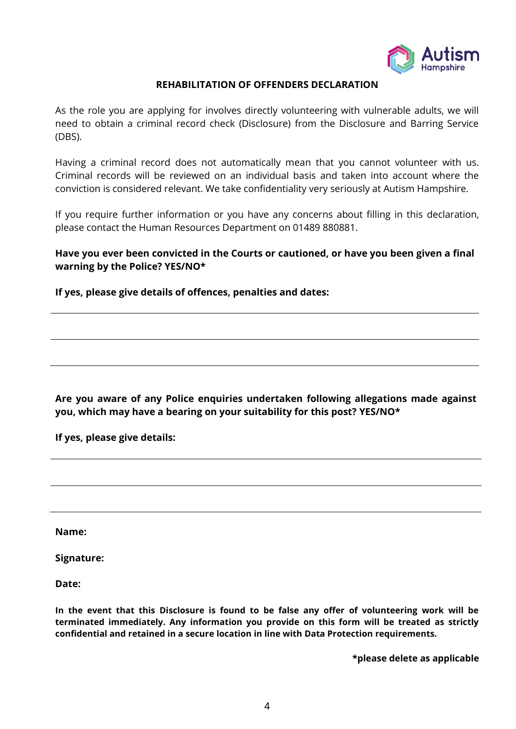

#### **REHABILITATION OF OFFENDERS DECLARATION**

As the role you are applying for involves directly volunteering with vulnerable adults, we will need to obtain a criminal record check (Disclosure) from the Disclosure and Barring Service (DBS).

Having a criminal record does not automatically mean that you cannot volunteer with us. Criminal records will be reviewed on an individual basis and taken into account where the conviction is considered relevant. We take confidentiality very seriously at Autism Hampshire.

If you require further information or you have any concerns about filling in this declaration, please contact the Human Resources Department on 01489 880881.

**Have you ever been convicted in the Courts or cautioned, or have you been given a final warning by the Police? YES/NO\***

**If yes, please give details of offences, penalties and dates:**

**Are you aware of any Police enquiries undertaken following allegations made against you, which may have a bearing on your suitability for this post? YES/NO\***

**If yes, please give details:**

**Name:** 

**Signature:** 

**Date:** 

**In the event that this Disclosure is found to be false any offer of volunteering work will be terminated immediately. Any information you provide on this form will be treated as strictly confidential and retained in a secure location in line with Data Protection requirements.**

**\*please delete as applicable**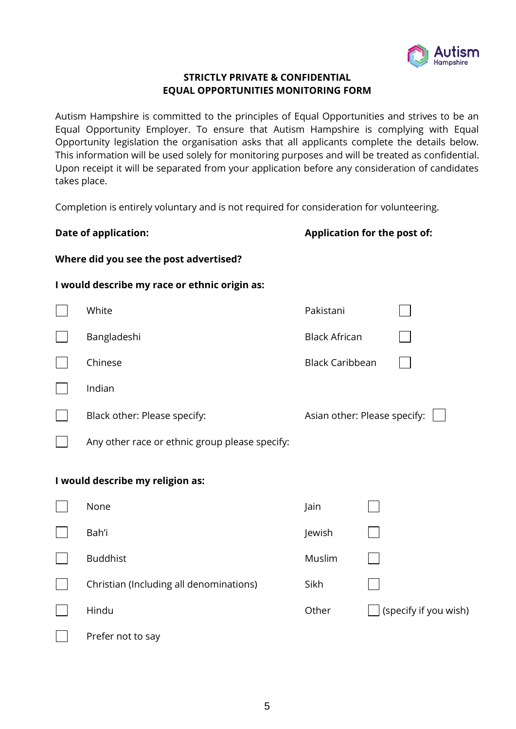

### **STRICTLY PRIVATE & CONFIDENTIAL EQUAL OPPORTUNITIES MONITORING FORM**

Autism Hampshire is committed to the principles of Equal Opportunities and strives to be an Equal Opportunity Employer. To ensure that Autism Hampshire is complying with Equal Opportunity legislation the organisation asks that all applicants complete the details below. This information will be used solely for monitoring purposes and will be treated as confidential. Upon receipt it will be separated from your application before any consideration of candidates takes place.

Completion is entirely voluntary and is not required for consideration for volunteering.

|                                                                                         | <b>Date of application:</b>                    | Application for the post of: |  |                       |  |  |  |
|-----------------------------------------------------------------------------------------|------------------------------------------------|------------------------------|--|-----------------------|--|--|--|
| Where did you see the post advertised?<br>I would describe my race or ethnic origin as: |                                                |                              |  |                       |  |  |  |
|                                                                                         |                                                |                              |  |                       |  |  |  |
|                                                                                         | Bangladeshi                                    | <b>Black African</b>         |  |                       |  |  |  |
|                                                                                         | Chinese                                        | <b>Black Caribbean</b>       |  |                       |  |  |  |
|                                                                                         | Indian                                         |                              |  |                       |  |  |  |
|                                                                                         | Black other: Please specify:                   | Asian other: Please specify: |  |                       |  |  |  |
|                                                                                         | Any other race or ethnic group please specify: |                              |  |                       |  |  |  |
|                                                                                         | I would describe my religion as:               |                              |  |                       |  |  |  |
|                                                                                         | None                                           | Jain                         |  |                       |  |  |  |
|                                                                                         | Bah'i                                          | Jewish                       |  |                       |  |  |  |
|                                                                                         | <b>Buddhist</b>                                | Muslim                       |  |                       |  |  |  |
|                                                                                         | Christian (Including all denominations)        | Sikh                         |  |                       |  |  |  |
|                                                                                         | Hindu                                          | Other                        |  | (specify if you wish) |  |  |  |
|                                                                                         | Prefer not to say                              |                              |  |                       |  |  |  |